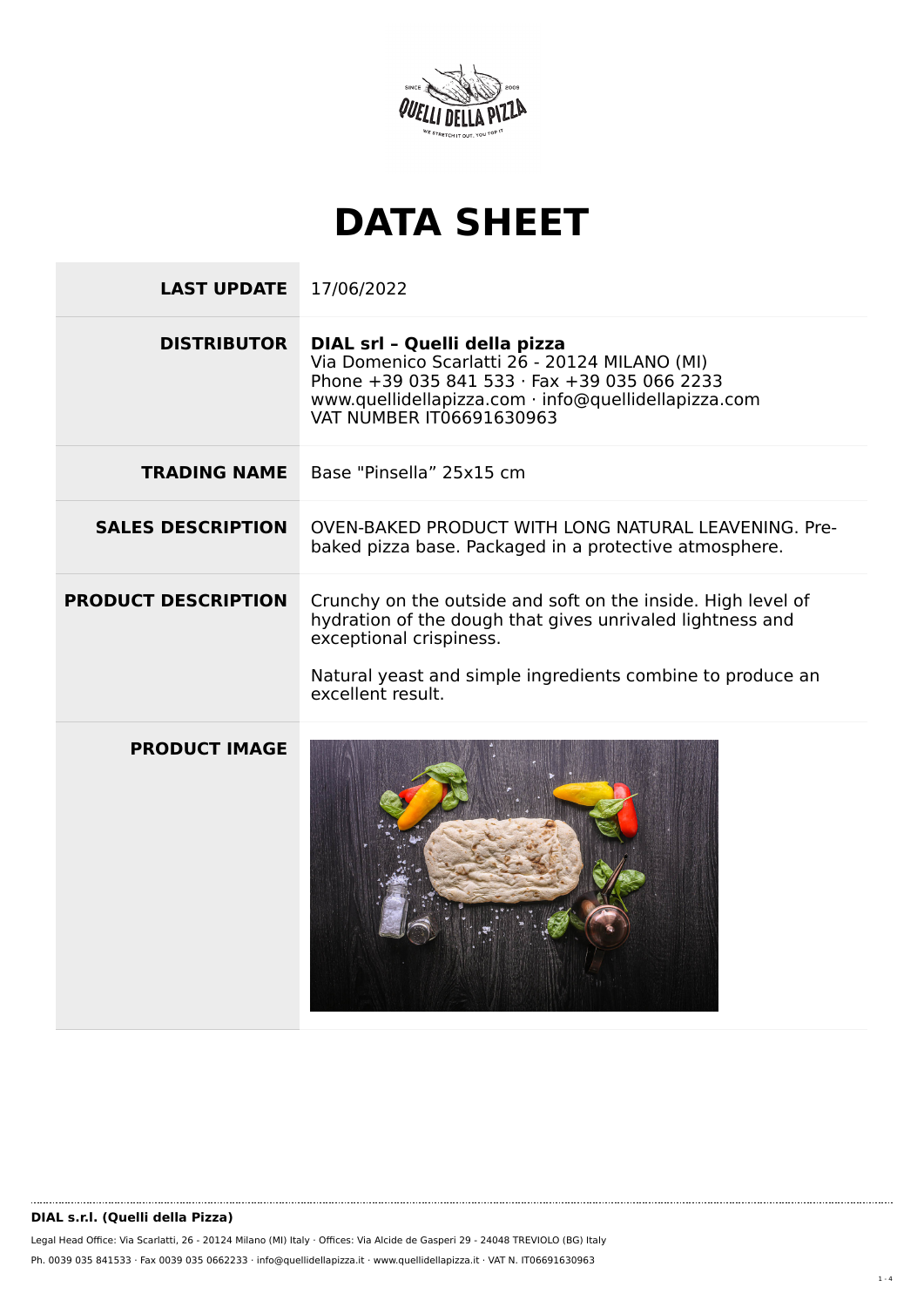

## **DATA SHEET**

| <b>LAST UPDATE</b>         | 17/06/2022                                                                                                                                                                                                                              |
|----------------------------|-----------------------------------------------------------------------------------------------------------------------------------------------------------------------------------------------------------------------------------------|
| <b>DISTRIBUTOR</b>         | DIAL srl - Quelli della pizza<br>Via Domenico Scarlatti 26 - 20124 MILANO (MI)<br>Phone +39 035 841 533 · Fax +39 035 066 2233<br>www.quellidellapizza.com · info@quellidellapizza.com<br><b>VAT NUMBER IT06691630963</b>               |
| <b>TRADING NAME</b>        | Base "Pinsella" 25x15 cm                                                                                                                                                                                                                |
| <b>SALES DESCRIPTION</b>   | OVEN-BAKED PRODUCT WITH LONG NATURAL LEAVENING, Pre-<br>baked pizza base. Packaged in a protective atmosphere.                                                                                                                          |
| <b>PRODUCT DESCRIPTION</b> | Crunchy on the outside and soft on the inside. High level of<br>hydration of the dough that gives unrivaled lightness and<br>exceptional crispiness.<br>Natural yeast and simple ingredients combine to produce an<br>excellent result. |
| <b>PRODUCT IMAGE</b>       |                                                                                                                                                                                                                                         |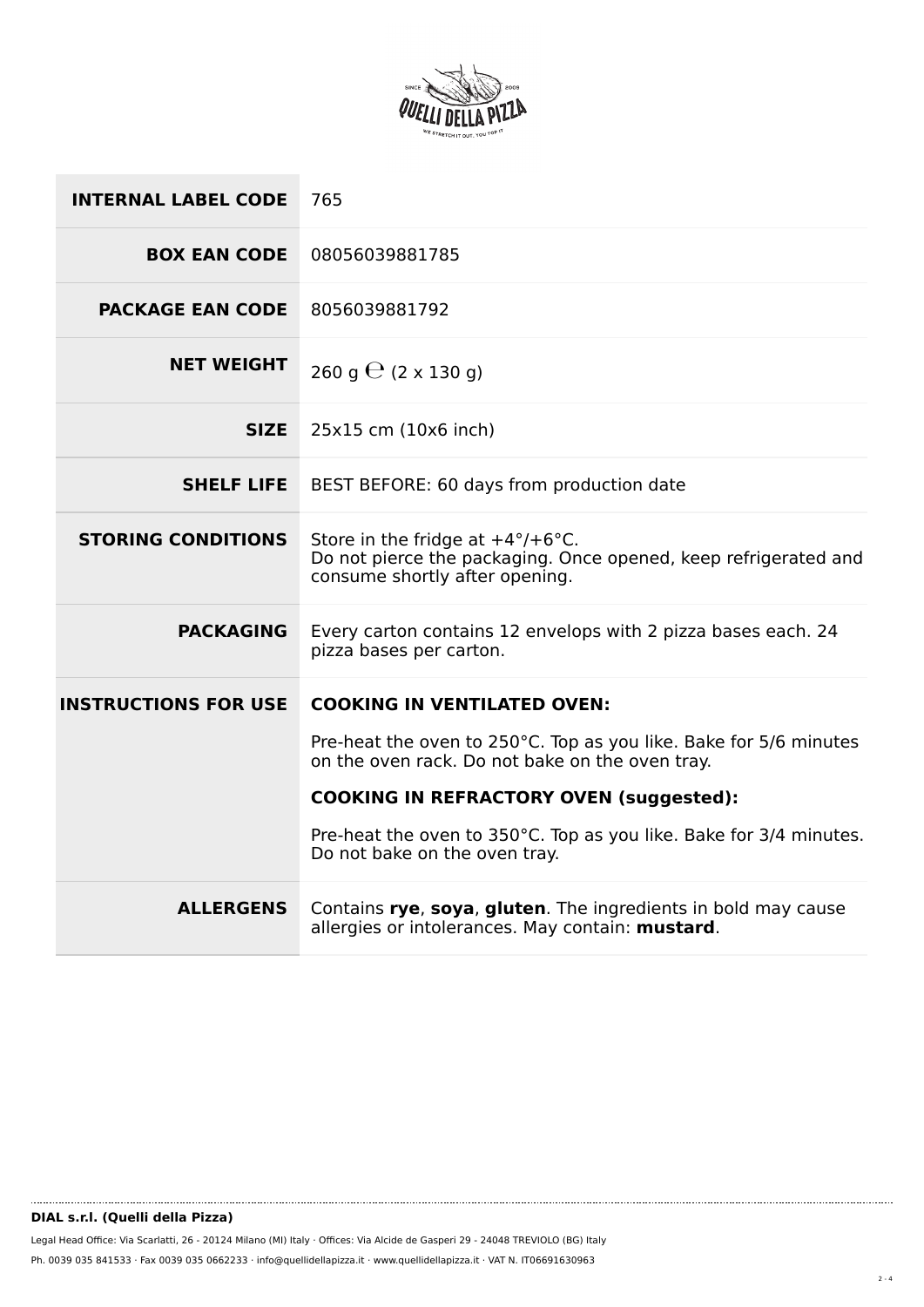

| <b>INTERNAL LABEL CODE</b>  | 765                                                                                                                                                    |
|-----------------------------|--------------------------------------------------------------------------------------------------------------------------------------------------------|
| <b>BOX EAN CODE</b>         | 08056039881785                                                                                                                                         |
| <b>PACKAGE EAN CODE</b>     | 8056039881792                                                                                                                                          |
| <b>NET WEIGHT</b>           | 260 g $\Theta$ (2 x 130 g)                                                                                                                             |
| <b>SIZE</b>                 | 25x15 cm (10x6 inch)                                                                                                                                   |
| <b>SHELF LIFE</b>           | BEST BEFORE: 60 days from production date                                                                                                              |
| <b>STORING CONDITIONS</b>   | Store in the fridge at $+4^{\circ}/+6^{\circ}$ C.<br>Do not pierce the packaging. Once opened, keep refrigerated and<br>consume shortly after opening. |
| <b>PACKAGING</b>            | Every carton contains 12 envelops with 2 pizza bases each. 24<br>pizza bases per carton.                                                               |
| <b>INSTRUCTIONS FOR USE</b> | <b>COOKING IN VENTILATED OVEN:</b>                                                                                                                     |
|                             | Pre-heat the oven to 250°C. Top as you like. Bake for 5/6 minutes<br>on the oven rack. Do not bake on the oven tray.                                   |
|                             | <b>COOKING IN REFRACTORY OVEN (suggested):</b>                                                                                                         |
|                             | Pre-heat the oven to 350°C. Top as you like. Bake for 3/4 minutes.<br>Do not bake on the oven tray.                                                    |
| <b>ALLERGENS</b>            | Contains rye, soya, gluten. The ingredients in bold may cause<br>allergies or intolerances. May contain: mustard.                                      |

........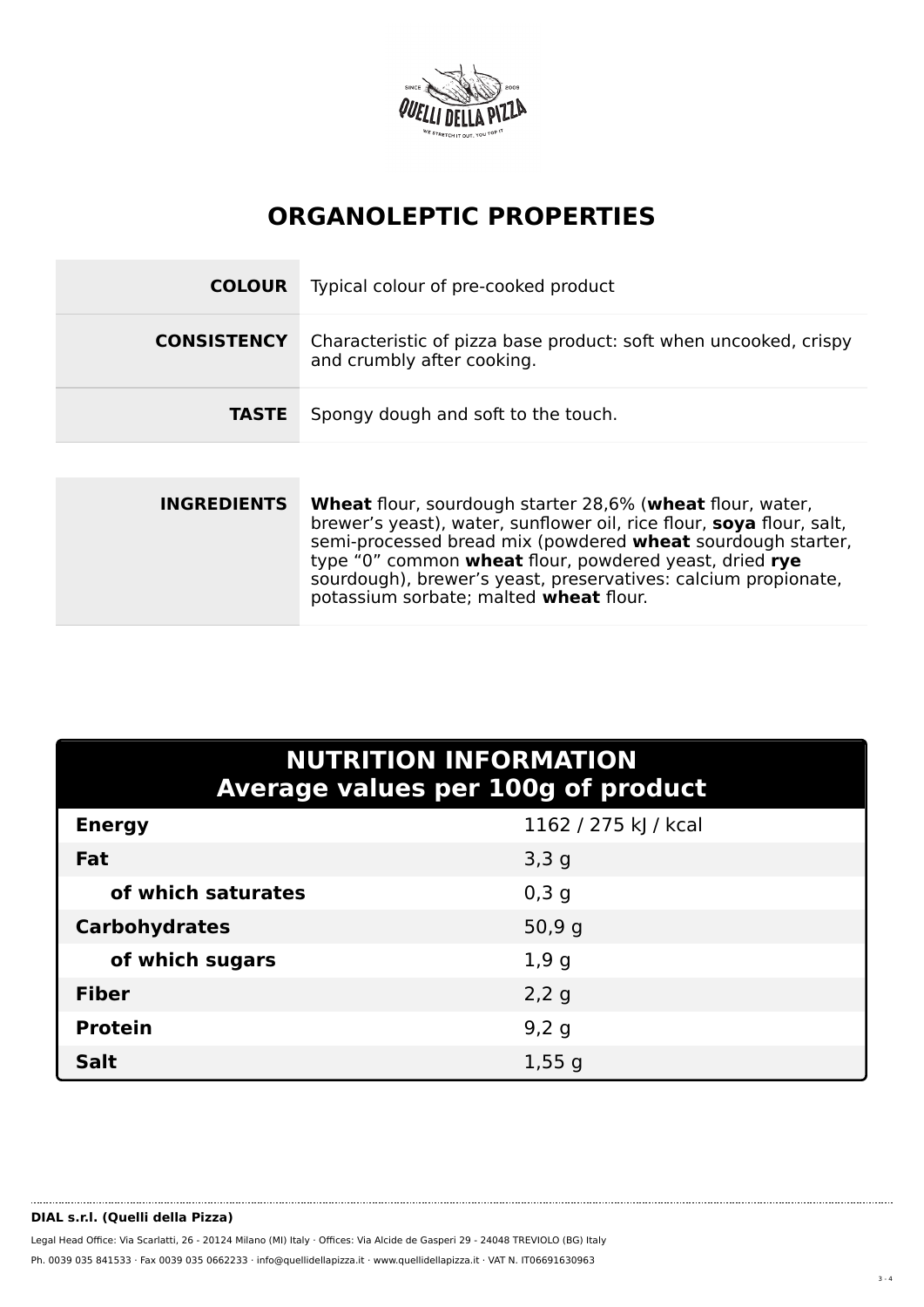

## **ORGANOLEPTIC PROPERTIES**

| <b>COLOUR</b>      | Typical colour of pre-cooked product                                                           |
|--------------------|------------------------------------------------------------------------------------------------|
| <b>CONSISTENCY</b> | Characteristic of pizza base product: soft when uncooked, crispy<br>and crumbly after cooking. |
| <b>TASTE</b>       | Spongy dough and soft to the touch.                                                            |

| <b>INGREDIENTS</b> | <b>Wheat</b> flour, sourdough starter 28,6% (wheat flour, water,<br>brewer's yeast), water, sunflower oil, rice flour, soya flour, salt,<br>semi-processed bread mix (powdered <b>wheat</b> sourdough starter,<br>type "0" common wheat flour, powdered yeast, dried rye<br>sourdough), brewer's yeast, preservatives: calcium propionate,<br>potassium sorbate; malted wheat flour. |
|--------------------|--------------------------------------------------------------------------------------------------------------------------------------------------------------------------------------------------------------------------------------------------------------------------------------------------------------------------------------------------------------------------------------|
|                    |                                                                                                                                                                                                                                                                                                                                                                                      |

| <b>NUTRITION INFORMATION</b><br>Average values per 100g of product |                      |  |  |  |
|--------------------------------------------------------------------|----------------------|--|--|--|
| <b>Energy</b>                                                      | 1162 / 275 kJ / kcal |  |  |  |
| Fat                                                                | 3,3,9                |  |  |  |
| of which saturates                                                 | 0,3,9                |  |  |  |
| <b>Carbohydrates</b>                                               | 50,9g                |  |  |  |
| of which sugars                                                    | 1,9g                 |  |  |  |
| <b>Fiber</b>                                                       | 2,2g                 |  |  |  |
| <b>Protein</b>                                                     | 9,2 g                |  |  |  |
| <b>Salt</b>                                                        | 1,55g                |  |  |  |